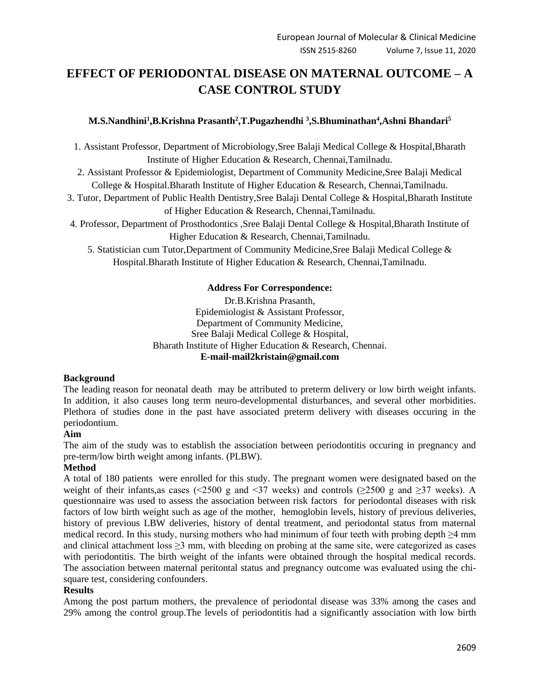# **EFFECT OF PERIODONTAL DISEASE ON MATERNAL OUTCOME – A CASE CONTROL STUDY**

# **M.S.Nandhini<sup>1</sup> ,B.Krishna Prasanth<sup>2</sup> ,T.Pugazhendhi <sup>3</sup> ,S.Bhuminathan<sup>4</sup> ,Ashni Bhandari<sup>5</sup>**

- 1. Assistant Professor, Department of Microbiology,Sree Balaji Medical College & Hospital,Bharath Institute of Higher Education & Research, Chennai,Tamilnadu.
- 2. Assistant Professor & Epidemiologist, Department of Community Medicine,Sree Balaji Medical College & Hospital.Bharath Institute of Higher Education & Research, Chennai,Tamilnadu.
- 3. Tutor, Department of Public Health Dentistry,Sree Balaji Dental College & Hospital,Bharath Institute of Higher Education & Research, Chennai,Tamilnadu.
- 4. Professor, Department of Prosthodontics ,Sree Balaji Dental College & Hospital,Bharath Institute of Higher Education & Research, Chennai,Tamilnadu.
	- 5. Statistician cum Tutor,Department of Community Medicine,Sree Balaji Medical College & Hospital.Bharath Institute of Higher Education & Research, Chennai,Tamilnadu.

# **Address For Correspondence:**

Dr.B.Krishna Prasanth, Epidemiologist & Assistant Professor, Department of Community Medicine, Sree Balaji Medical College & Hospital, Bharath Institute of Higher Education & Research, Chennai. **E-mail-mail2kristain@gmail.com**

# **Background**

The leading reason for neonatal death may be attributed to preterm delivery or low birth weight infants. In addition, it also causes long term neuro-developmental disturbances, and several other morbidities. Plethora of studies done in the past have associated preterm delivery with diseases occuring in the periodontium.

# **Aim**

The aim of the study was to establish the association between periodontitis occuring in pregnancy and pre-term/low birth weight among infants. (PLBW).

# **Method**

A total of 180 patients were enrolled for this study. The pregnant women were designated based on the weight of their infants,as cases (<2500 g and <37 weeks) and controls ( $\geq$ 2500 g and  $\geq$ 37 weeks). A questionnaire was used to assess the association between risk factors for periodontal diseases with risk factors of low birth weight such as age of the mother, hemoglobin levels, history of previous deliveries, history of previous LBW deliveries, history of dental treatment, and periodontal status from maternal medical record. In this study, nursing mothers who had minimum of four teeth with probing depth ≥4 mm and clinical attachment loss > 3 mm, with bleeding on probing at the same site, were categorized as cases with periodontitis. The birth weight of the infants were obtained through the hospital medical records. The association between maternal peritontal status and pregnancy outcome was evaluated using the chisquare test, considering confounders.

# **Results**

Among the post partum mothers, the prevalence of periodontal disease was 33% among the cases and 29% among the control group.The levels of periodontitis had a significantly association with low birth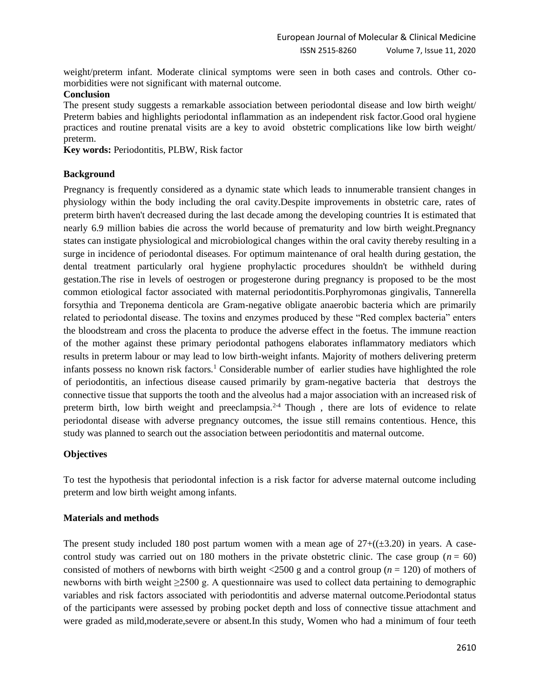weight/preterm infant. Moderate clinical symptoms were seen in both cases and controls. Other comorbidities were not significant with maternal outcome.

#### **Conclusion**

The present study suggests a remarkable association between periodontal disease and low birth weight/ Preterm babies and highlights periodontal inflammation as an independent risk factor.Good oral hygiene practices and routine prenatal visits are a key to avoid obstetric complications like low birth weight/ preterm.

Key words: Periodontitis, PLBW, Risk factor

### **Background**

Pregnancy is frequently considered as a dynamic state which leads to innumerable transient changes in physiology within the body including the oral cavity.Despite improvements in obstetric care, rates of preterm birth haven't decreased during the last decade among the developing countries It is estimated that nearly 6.9 million babies die across the world because of prematurity and low birth weight.Pregnancy states can instigate physiological and microbiological changes within the oral cavity thereby resulting in a surge in incidence of periodontal diseases. For optimum maintenance of oral health during gestation, the dental treatment particularly oral hygiene prophylactic procedures shouldn't be withheld during gestation.The rise in levels of oestrogen or progesterone during pregnancy is proposed to be the most common etiological factor associated with maternal periodontitis.Porphyromonas gingivalis, Tannerella forsythia and Treponema denticola are Gram-negative obligate anaerobic bacteria which are primarily related to periodontal disease. The toxins and enzymes produced by these "Red complex bacteria" enters the bloodstream and cross the placenta to produce the adverse effect in the foetus. The immune reaction of the mother against these primary periodontal pathogens elaborates inflammatory mediators which results in preterm labour or may lead to low birth-weight infants. Majority of mothers delivering preterm infants possess no known risk factors.<sup>1</sup> Considerable number of earlier studies have highlighted the role of periodontitis, an infectious disease caused primarily by gram-negative bacteria that destroys the connective tissue that supports the tooth and the alveolus had a major association with an increased risk of preterm birth, low birth weight and preeclampsia.<sup>2-4</sup> Though, there are lots of evidence to relate periodontal disease with adverse pregnancy outcomes, the issue still remains contentious. Hence, this study was planned to search out the association between periodontitis and maternal outcome.

# **Objectives**

To test the hypothesis that periodontal infection is a risk factor for adverse maternal outcome including preterm and low birth weight among infants.

#### **Materials and methods**

The present study included 180 post partum women with a mean age of  $27+((\pm 3.20)$  in years. A casecontrol study was carried out on 180 mothers in the private obstetric clinic. The case group  $(n = 60)$ consisted of mothers of newborns with birth weight  $\langle 2500 \text{ g} \rangle$  and a control group ( $n = 120$ ) of mothers of newborns with birth weight ≥2500 g. A questionnaire was used to collect data pertaining to demographic variables and risk factors associated with periodontitis and adverse maternal outcome.Periodontal status of the participants were assessed by probing pocket depth and loss of connective tissue attachment and were graded as mild,moderate,severe or absent.In this study, Women who had a minimum of four teeth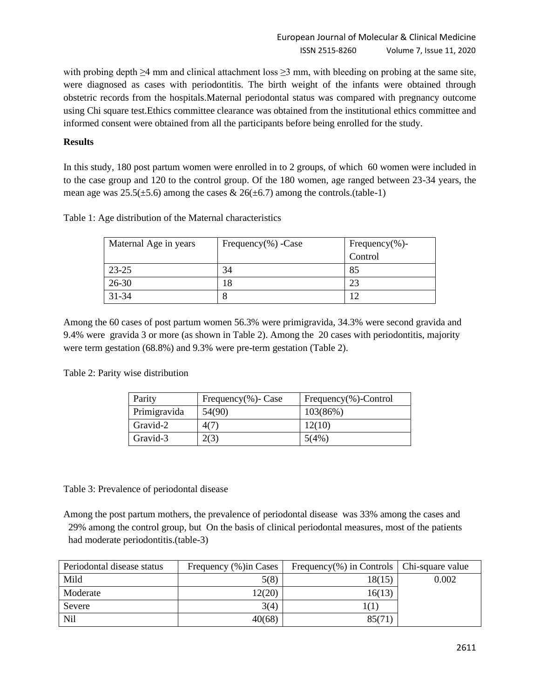with probing depth ≥4 mm and clinical attachment loss ≥3 mm, with bleeding on probing at the same site, were diagnosed as cases with periodontitis. The birth weight of the infants were obtained through obstetric records from the hospitals.Maternal periodontal status was compared with pregnancy outcome using Chi square test.Ethics committee clearance was obtained from the institutional ethics committee and informed consent were obtained from all the participants before being enrolled for the study.

# **Results**

In this study, 180 post partum women were enrolled in to 2 groups, of which 60 women were included in to the case group and 120 to the control group. Of the 180 women, age ranged between 23-34 years, the mean age was  $25.5(\pm 5.6)$  among the cases &  $26(\pm 6.7)$  among the controls.(table-1)

|  |  |  | Table 1: Age distribution of the Maternal characteristics |  |
|--|--|--|-----------------------------------------------------------|--|
|  |  |  |                                                           |  |

| Maternal Age in years | Frequency $(\%)$ -Case | Frequency $(\% )$ - |
|-----------------------|------------------------|---------------------|
|                       |                        | Control             |
| $23 - 25$             | 34                     | 85                  |
| $26 - 30$             | 18                     | 23                  |
| $31 - 34$             |                        |                     |

Among the 60 cases of post partum women 56.3% were primigravida, 34.3% were second gravida and 9.4% were gravida 3 or more (as shown in Table 2). Among the 20 cases with periodontitis, majority were term gestation (68.8%) and 9.3% were pre-term gestation (Table 2).

Table 2: Parity wise distribution

| Parity       | Frequency $(\% )$ - Case | Frequency $(\%)$ -Control |
|--------------|--------------------------|---------------------------|
| Primigravida | 54(90)                   | 103(86%)                  |
| Gravid-2     | 4(7)                     | 12(10)                    |
| Gravid-3     | 2(3)                     | 5(4%)                     |

Table 3: Prevalence of periodontal disease

Among the post partum mothers, the prevalence of periodontal disease was 33% among the cases and 29% among the control group, but On the basis of clinical periodontal measures, most of the patients had moderate periodontitis.(table-3)

| Periodontal disease status | Frequency (%) in Cases | Frequency(%) in Controls $\vert$ Chi-square value |       |
|----------------------------|------------------------|---------------------------------------------------|-------|
| Mild                       | 5(8)                   | 18(15)                                            | 0.002 |
| Moderate                   | 12(20)                 | 16(13)                                            |       |
| Severe                     | 3(4)                   | 1(1)                                              |       |
| <b>Nil</b>                 | 40(68)                 | 85(71)                                            |       |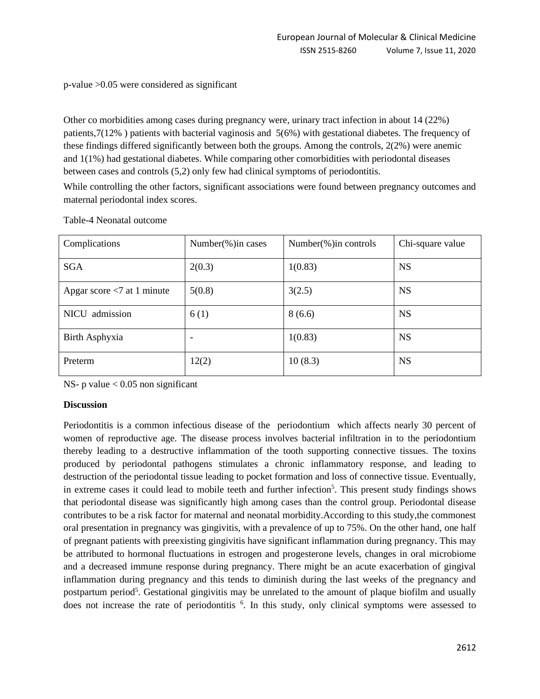p-value >0.05 were considered as significant

Other co morbidities among cases during pregnancy were, urinary tract infection in about 14 (22%) patients,7(12% ) patients with bacterial vaginosis and 5(6%) with gestational diabetes. The frequency of these findings differed significantly between both the groups. Among the controls, 2(2%) were anemic and 1(1%) had gestational diabetes. While comparing other comorbidities with periodontal diseases between cases and controls (5,2) only few had clinical symptoms of periodontitis.

While controlling the other factors, significant associations were found between pregnancy outcomes and maternal periodontal index scores.

| Complications                 | Number( $\%$ ) in cases | Number( $\%$ ) in controls | Chi-square value |
|-------------------------------|-------------------------|----------------------------|------------------|
| <b>SGA</b>                    | 2(0.3)                  | 1(0.83)                    | <b>NS</b>        |
| Apgar score $< 7$ at 1 minute | 5(0.8)                  | 3(2.5)                     | <b>NS</b>        |
| NICU admission                | 6(1)                    | 8(6.6)                     | <b>NS</b>        |
| Birth Asphyxia                | ۰                       | 1(0.83)                    | <b>NS</b>        |
| Preterm                       | 12(2)                   | 10(8.3)                    | <b>NS</b>        |

Table-4 Neonatal outcome

NS- p value  $< 0.05$  non significant

# **Discussion**

Periodontitis is a common infectious disease of the periodontium which affects nearly 30 percent of women of reproductive age. The disease process involves bacterial infiltration in to the periodontium thereby leading to a destructive inflammation of the tooth supporting connective tissues. The toxins produced by periodontal pathogens stimulates a chronic inflammatory response, and leading to destruction of the periodontal tissue leading to pocket formation and loss of connective tissue. Eventually, in extreme cases it could lead to mobile teeth and further infection<sup>5</sup>. This present study findings shows that periodontal disease was significantly high among cases than the control group. Periodontal disease contributes to be a risk factor for maternal and neonatal morbidity.According to this study,the commonest oral presentation in pregnancy was gingivitis, with a prevalence of up to 75%. On the other hand, one half of pregnant patients with preexisting gingivitis have significant inflammation during pregnancy. This may be attributed to hormonal fluctuations in estrogen and progesterone levels, changes in oral microbiome and a decreased immune response during pregnancy. There might be an acute exacerbation of gingival inflammation during pregnancy and this tends to diminish during the last weeks of the pregnancy and postpartum period<sup>5</sup>. Gestational gingivitis may be unrelated to the amount of plaque biofilm and usually does not increase the rate of periodontitis <sup>6</sup>. In this study, only clinical symptoms were assessed to